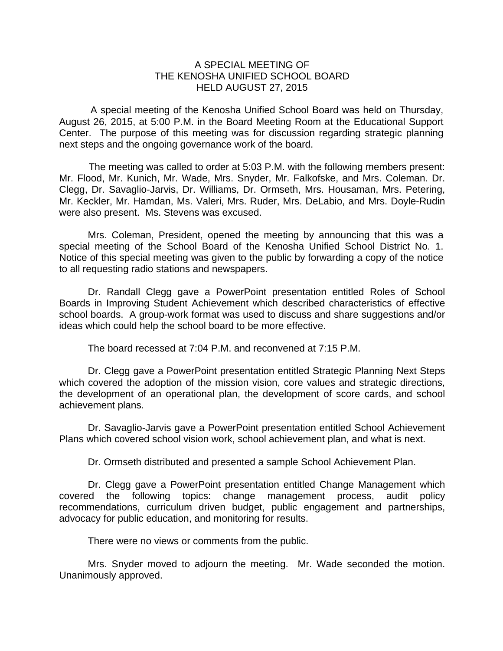## A SPECIAL MEETING OF THE KENOSHA UNIFIED SCHOOL BOARD HELD AUGUST 27, 2015

 A special meeting of the Kenosha Unified School Board was held on Thursday, August 26, 2015, at 5:00 P.M. in the Board Meeting Room at the Educational Support Center. The purpose of this meeting was for discussion regarding strategic planning next steps and the ongoing governance work of the board.

The meeting was called to order at 5:03 P.M. with the following members present: Mr. Flood, Mr. Kunich, Mr. Wade, Mrs. Snyder, Mr. Falkofske, and Mrs. Coleman. Dr. Clegg, Dr. Savaglio-Jarvis, Dr. Williams, Dr. Ormseth, Mrs. Housaman, Mrs. Petering, Mr. Keckler, Mr. Hamdan, Ms. Valeri, Mrs. Ruder, Mrs. DeLabio, and Mrs. Doyle-Rudin were also present. Ms. Stevens was excused.

Mrs. Coleman, President, opened the meeting by announcing that this was a special meeting of the School Board of the Kenosha Unified School District No. 1. Notice of this special meeting was given to the public by forwarding a copy of the notice to all requesting radio stations and newspapers.

 Dr. Randall Clegg gave a PowerPoint presentation entitled Roles of School Boards in Improving Student Achievement which described characteristics of effective school boards. A group-work format was used to discuss and share suggestions and/or ideas which could help the school board to be more effective.

The board recessed at 7:04 P.M. and reconvened at 7:15 P.M.

 Dr. Clegg gave a PowerPoint presentation entitled Strategic Planning Next Steps which covered the adoption of the mission vision, core values and strategic directions, the development of an operational plan, the development of score cards, and school achievement plans.

 Dr. Savaglio-Jarvis gave a PowerPoint presentation entitled School Achievement Plans which covered school vision work, school achievement plan, and what is next.

Dr. Ormseth distributed and presented a sample School Achievement Plan.

 Dr. Clegg gave a PowerPoint presentation entitled Change Management which covered the following topics: change management process, audit policy recommendations, curriculum driven budget, public engagement and partnerships, advocacy for public education, and monitoring for results.

There were no views or comments from the public.

 Mrs. Snyder moved to adjourn the meeting. Mr. Wade seconded the motion. Unanimously approved.